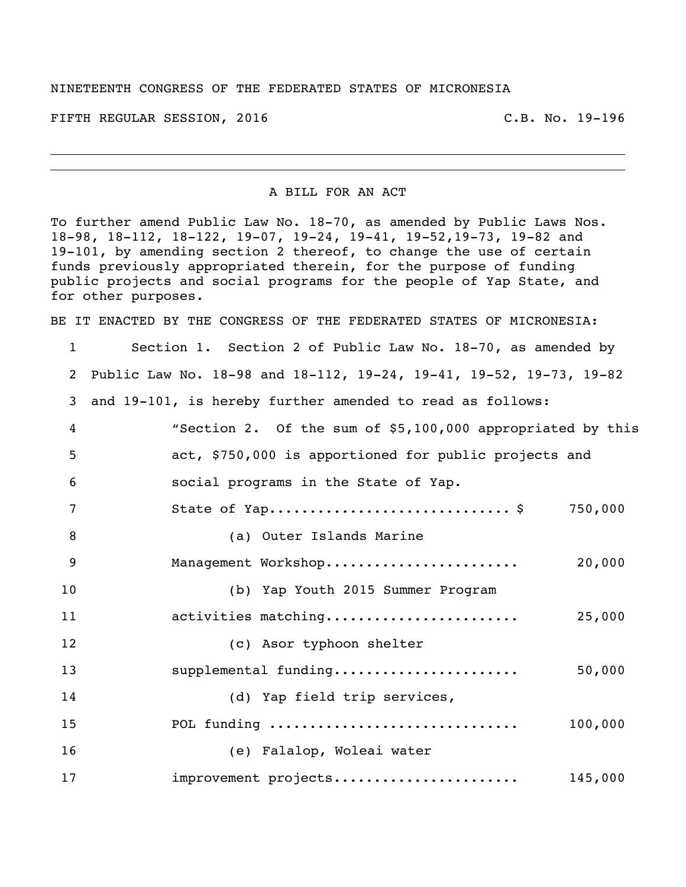## NINETEENTH CONGRESS OF THE FEDERATED STATES OF MICRONESIA

FIFTH REGULAR SESSION, 2016 C.B. No. 19-196

A BILL FOR AN ACT

To further amend Public Law No. 18-70, as amended by Public Laws Nos. 18-98, 18-112, 18-122, 19-07, 19-24, 19-41, 19-52,19-73, 19-82 and 19-101, by amending section 2 thereof, to change the use of certain funds previously appropriated therein, for the purpose of funding public projects and social programs for the people of Yap State, and for other purposes.

BE IT ENACTED BY THE CONGRESS OF THE FEDERATED STATES OF MICRONESIA:

 Section 1. Section 2 of Public Law No. 18-70, as amended by Public Law No. 18-98 and 18-112, 19-24, 19-41, 19-52, 19-73, 19-82 and 19-101, is hereby further amended to read as follows: "Section 2. Of the sum of \$5,100,000 appropriated by this act, \$750,000 is apportioned for public projects and social programs in the State of Yap. 7 State of Yap................................\$ 750,000 (a) Outer Islands Marine Management Workshop........................ 20,000 (b) Yap Youth 2015 Summer Program activities matching........................ 25,000 (c) Asor typhoon shelter supplemental funding....................... 50,000 (d) Yap field trip services, POL funding ............................... 100,000 (e) Falalop, Woleai water improvement projects....................... 145,000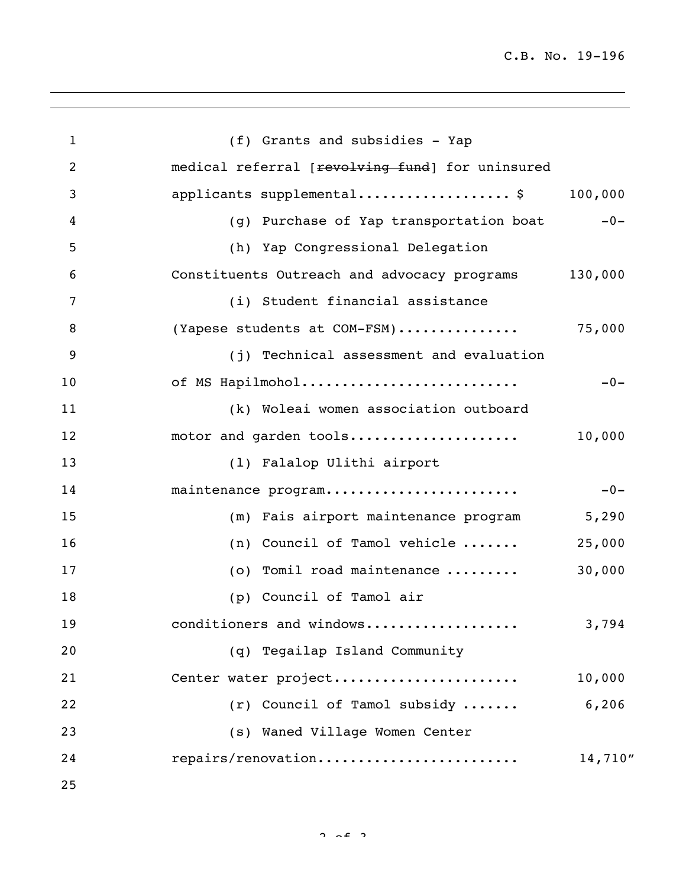| $\mathbf{1}$   | (f) Grants and subsidies - Yap                  |         |
|----------------|-------------------------------------------------|---------|
| $\overline{2}$ | medical referral [revolving fund] for uninsured |         |
| 3              | applicants supplemental\$                       | 100,000 |
| 4              | (g) Purchase of Yap transportation boat         | $-0-$   |
| 5              | (h) Yap Congressional Delegation                |         |
| 6              | Constituents Outreach and advocacy programs     | 130,000 |
| 7              | (i) Student financial assistance                |         |
| 8              | (Yapese students at COM-FSM)                    | 75,000  |
| 9              | (j) Technical assessment and evaluation         |         |
| 10             | of MS Hapilmohol                                | $-0-$   |
| 11             | (k) Woleai women association outboard           |         |
| 12             | motor and garden tools                          | 10,000  |
| 13             | (1) Falalop Ulithi airport                      |         |
| 14             | maintenance program                             | $-0-$   |
| 15             | (m) Fais airport maintenance program            | 5,290   |
| 16             | (n) Council of Tamol vehicle                    | 25,000  |
| 17             | (o) Tomil road maintenance                      | 30,000  |
| 18             | (p) Council of Tamol air                        |         |
| 19             | conditioners and windows                        | 3,794   |
| 20             | (q) Tegailap Island Community                   |         |
| 21             | Center water project                            | 10,000  |
| 22             | (r) Council of Tamol subsidy                    | 6,206   |
| 23             | (s) Waned Village Women Center                  |         |
| 24             | repairs/renovation                              | 14,710" |
| 25             |                                                 |         |

 $2 \times 2$